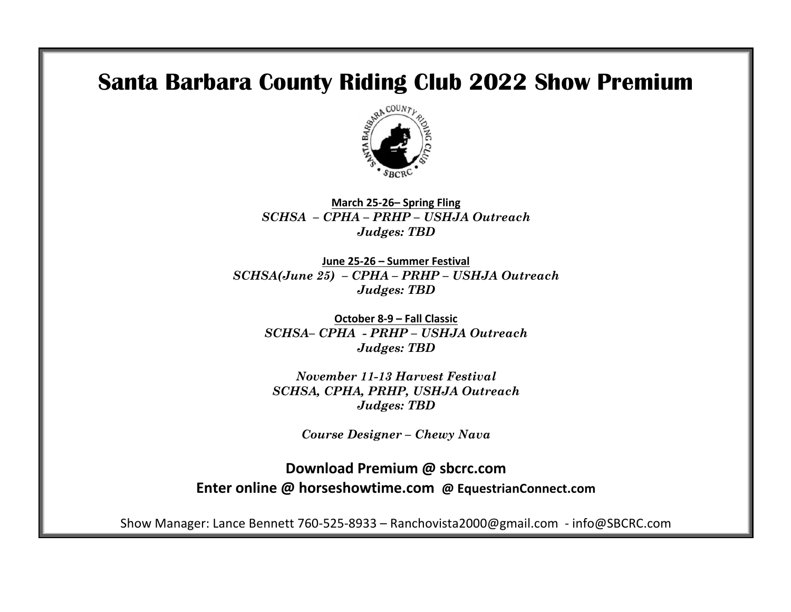# **Santa Barbara County Riding Club 2022 Show Premium**



**March 25-26– Spring Fling** *SCHSA – CPHA – PRHP – USHJA Outreach Judges: TBD*

**June 25-26 – Summer Festival** *SCHSA(June 25) – CPHA – PRHP – USHJA Outreach Judges: TBD*

**October 8-9 – Fall Classic** *SCHSA– CPHA - PRHP – USHJA Outreach Judges: TBD*

*November 11-13 Harvest Festival SCHSA, CPHA, PRHP, USHJA Outreach Judges: TBD*

*Course Designer – Chewy Nava*

**Download Premium @ sbcrc.com Enter online @ horseshowtime.com @ EquestrianConnect.com** 

Show Manager: Lance Bennett 760-525-8933 – Ranchovista2000@gmail.com - info@SBCRC.com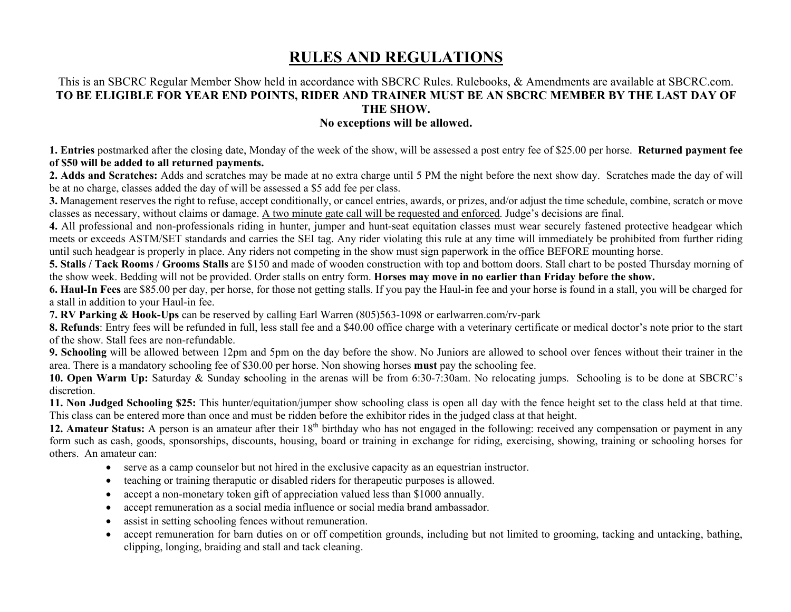# **RULES AND REGULATIONS**

# This is an SBCRC Regular Member Show held in accordance with SBCRC Rules. Rulebooks, & Amendments are available at SBCRC.com. **TO BE ELIGIBLE FOR YEAR END POINTS, RIDER AND TRAINER MUST BE AN SBCRC MEMBER BY THE LAST DAY OF THE SHOW.**

### **No exceptions will be allowed.**

**1. Entries** postmarked after the closing date, Monday of the week of the show, will be assessed a post entry fee of \$25.00 per horse. **Returned payment fee of \$50 will be added to all returned payments.** 

**2. Adds and Scratches:** Adds and scratches may be made at no extra charge until 5 PM the night before the next show day. Scratches made the day of will be at no charge, classes added the day of will be assessed a \$5 add fee per class.

**3.** Management reserves the right to refuse, accept conditionally, or cancel entries, awards, or prizes, and/or adjust the time schedule, combine, scratch or move classes as necessary, without claims or damage. A two minute gate call will be requested and enforced. Judge's decisions are final.

**4.** All professional and non-professionals riding in hunter, jumper and hunt-seat equitation classes must wear securely fastened protective headgear which meets or exceeds ASTM/SET standards and carries the SEI tag. Any rider violating this rule at any time will immediately be prohibited from further riding until such headgear is properly in place. Any riders not competing in the show must sign paperwork in the office BEFORE mounting horse.

**5. Stalls / Tack Rooms / Grooms Stalls** are \$150 and made of wooden construction with top and bottom doors. Stall chart to be posted Thursday morning of the show week. Bedding will not be provided. Order stalls on entry form. **Horses may move in no earlier than Friday before the show.**

**6. Haul-In Fees** are \$85.00 per day, per horse, for those not getting stalls. If you pay the Haul-in fee and your horse is found in a stall, you will be charged for a stall in addition to your Haul-in fee.

**7. RV Parking & Hook-Ups** can be reserved by calling Earl Warren (805)563-1098 or earlwarren.com/rv-park

**8. Refunds**: Entry fees will be refunded in full, less stall fee and a \$40.00 office charge with a veterinary certificate or medical doctor's note prior to the start of the show. Stall fees are non-refundable.

**9. Schooling** will be allowed between 12pm and 5pm on the day before the show. No Juniors are allowed to school over fences without their trainer in the area. There is a mandatory schooling fee of \$30.00 per horse. Non showing horses **must** pay the schooling fee.

**10. Open Warm Up:** Saturday & Sunday **s**chooling in the arenas will be from 6:30-7:30am. No relocating jumps. Schooling is to be done at SBCRC's discretion.

**11. Non Judged Schooling \$25:** This hunter/equitation/jumper show schooling class is open all day with the fence height set to the class held at that time. This class can be entered more than once and must be ridden before the exhibitor rides in the judged class at that height.

12. Amateur Status: A person is an amateur after their 18<sup>th</sup> birthday who has not engaged in the following: received any compensation or payment in any form such as cash, goods, sponsorships, discounts, housing, board or training in exchange for riding, exercising, showing, training or schooling horses for others. An amateur can:

- serve as a camp counselor but not hired in the exclusive capacity as an equestrian instructor.
- teaching or training theraputic or disabled riders for therapeutic purposes is allowed.
- accept a non-monetary token gift of appreciation valued less than \$1000 annually.
- accept remuneration as a social media influence or social media brand ambassador.
- assist in setting schooling fences without remuneration.
- accept remuneration for barn duties on or off competition grounds, including but not limited to grooming, tacking and untacking, bathing, clipping, longing, braiding and stall and tack cleaning.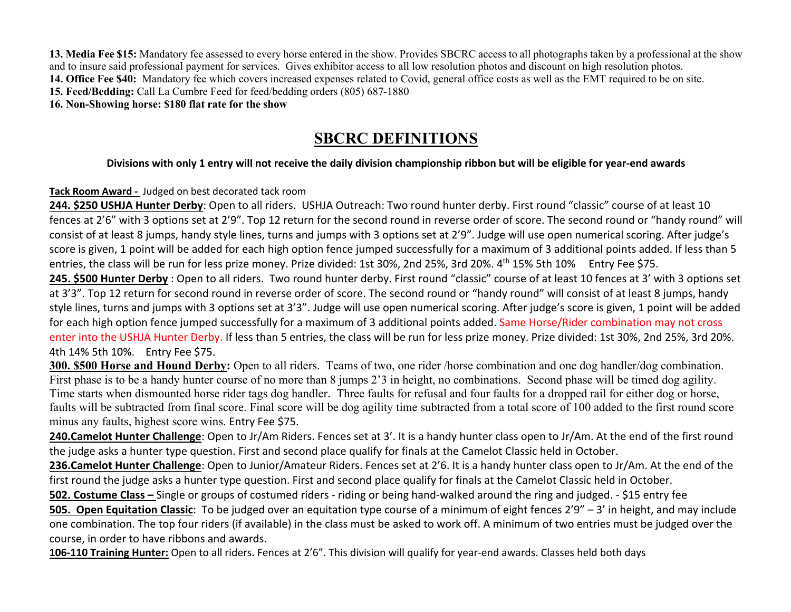**13. Media Fee \$15:** Mandatory fee assessed to every horse entered in the show. Provides SBCRC access to all photographs taken by a professional at the show and to insure said professional payment for services. Gives exhibitor access to all low resolution photos and discount on high resolution photos. **14. Office Fee \$40:** Mandatory fee which covers increased expenses related to Covid, general office costs as well as the EMT required to be on site.

**15. Feed/Bedding:** Call La Cumbre Feed for feed/bedding orders (805) 687-1880

**16. Non-Showing horse: \$180 flat rate for the show** 

# **SBCRC DEFINITIONS**

# **Divisions with only 1 entry will not receive the daily division championship ribbon but will be eligible for year-end awards**

# **Tack Room Award -** Judged on best decorated tack room

**244. \$250 USHJA Hunter Derby**: Open to all riders. USHJA Outreach: Two round hunter derby. First round "classic" course of at least 10 fences at 2'6" with 3 options set at 2'9". Top 12 return for the second round in reverse order of score. The second round or "handy round" will consist of at least 8 jumps, handy style lines, turns and jumps with 3 options set at 2'9". Judge will use open numerical scoring. After judge's score is given, 1 point will be added for each high option fence jumped successfully for a maximum of 3 additional points added. If less than 5 entries, the class will be run for less prize money. Prize divided: 1st 30%, 2nd 25%, 3rd 20%. 4<sup>th</sup> 15% 5th 10% Entry Fee \$75. **245. \$500 Hunter Derby** : Open to all riders. Two round hunter derby. First round "classic" course of at least 10 fences at 3' with 3 options set

at 3'3". Top 12 return for second round in reverse order of score. The second round or "handy round" will consist of at least 8 jumps, handy style lines, turns and jumps with 3 options set at 3'3". Judge will use open numerical scoring. After judge's score is given, 1 point will be added for each high option fence jumped successfully for a maximum of 3 additional points added. Same Horse/Rider combination may not cross enter into the USHJA Hunter Derby. If less than 5 entries, the class will be run for less prize money. Prize divided: 1st 30%, 2nd 25%, 3rd 20%. 4th 14% 5th 10%. Entry Fee \$75.

**300. \$500 Horse and Hound Derby:** Open to all riders.Teams of two, one rider /horse combination and one dog handler/dog combination. First phase is to be a handy hunter course of no more than 8 jumps 2'3 in height, no combinations. Second phase will be timed dog agility. Time starts when dismounted horse rider tags dog handler. Three faults for refusal and four faults for a dropped rail for either dog or horse, faults will be subtracted from final score. Final score will be dog agility time subtracted from a total score of 100 added to the first round score minus any faults, highest score wins. Entry Fee \$75.

**240.Camelot Hunter Challenge**: Open to Jr/Am Riders. Fences set at 3'. It is a handy hunter class open to Jr/Am. At the end of the first round the judge asks a hunter type question. First and second place qualify for finals at the Camelot Classic held in October.

**236.Camelot Hunter Challenge**: Open to Junior/Amateur Riders. Fences set at 2'6. It is a handy hunter class open to Jr/Am. At the end of the first round the judge asks a hunter type question. First and second place qualify for finals at the Camelot Classic held in October.

**502. Costume Class –** Single or groups of costumed riders - riding or being hand-walked around the ring and judged. - \$15 entry fee **505. Open Equitation Classic**: To be judged over an equitation type course of a minimum of eight fences 2'9" – 3' in height, and may include one combination. The top four riders (if available) in the class must be asked to work off. A minimum of two entries must be judged over the course, in order to have ribbons and awards.

**106-110 Training Hunter:** Open to all riders. Fences at 2'6". This division will qualify for year-end awards. Classes held both days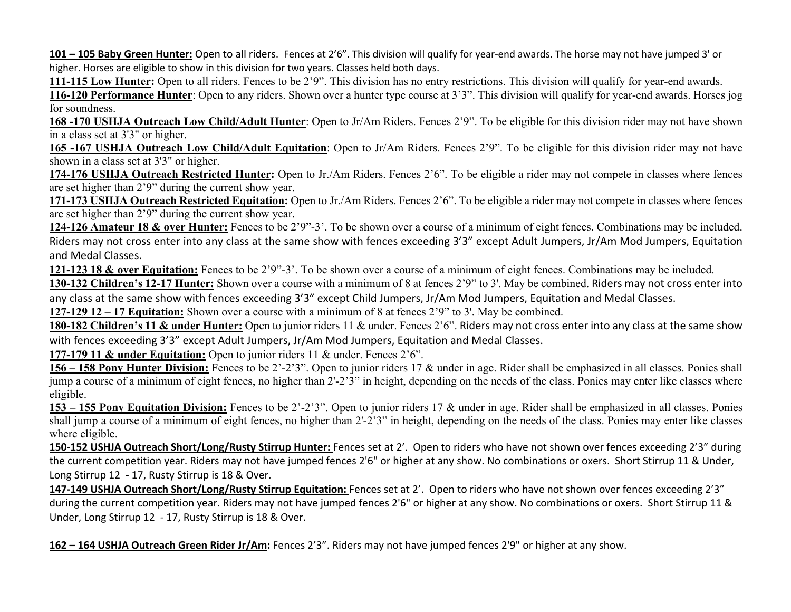**101 – 105 Baby Green Hunter:** Open to all riders. Fences at 2'6". This division will qualify for year-end awards. The horse may not have jumped 3' or higher. Horses are eligible to show in this division for two years. Classes held both days.

**111-115 Low Hunter:** Open to all riders. Fences to be 2'9". This division has no entry restrictions. This division will qualify for year-end awards.

**116-120 Performance Hunter**: Open to any riders. Shown over a hunter type course at 3'3". This division will qualify for year-end awards. Horses jog for soundness.

**168 -170 USHJA Outreach Low Child/Adult Hunter**: Open to Jr/Am Riders. Fences 2'9". To be eligible for this division rider may not have shown in a class set at 3'3" or higher.

**165 -167 USHJA Outreach Low Child/Adult Equitation**: Open to Jr/Am Riders. Fences 2'9". To be eligible for this division rider may not have shown in a class set at 3'3" or higher.

**174-176 USHJA Outreach Restricted Hunter:** Open to Jr./Am Riders. Fences 2'6". To be eligible a rider may not compete in classes where fences are set higher than 2'9" during the current show year.

**171-173 USHJA Outreach Restricted Equitation:** Open to Jr./Am Riders. Fences 2'6". To be eligible a rider may not compete in classes where fences are set higher than 2'9" during the current show year.

**124-126 Amateur 18 & over Hunter:** Fences to be 2'9"-3'. To be shown over a course of a minimum of eight fences. Combinations may be included. Riders may not cross enter into any class at the same show with fences exceeding 3'3" except Adult Jumpers, Jr/Am Mod Jumpers, Equitation and Medal Classes.

**121-123 18 & over Equitation:** Fences to be 2'9"-3'. To be shown over a course of a minimum of eight fences. Combinations may be included.

**130-132 Children's 12-17 Hunter:** Shown over a course with a minimum of 8 at fences 2'9" to 3'. May be combined. Riders may not cross enter into any class at the same show with fences exceeding 3'3" except Child Jumpers, Jr/Am Mod Jumpers, Equitation and Medal Classes.

**127-129 12 – 17 Equitation:** Shown over a course with a minimum of 8 at fences 2'9" to 3'. May be combined.

**180-182 Children's 11 & under Hunter:** Open to junior riders 11 & under. Fences 2'6". Riders may not cross enter into any class at the same show with fences exceeding 3'3" except Adult Jumpers, Jr/Am Mod Jumpers, Equitation and Medal Classes.

**177-179 11 & under Equitation:** Open to junior riders 11 & under. Fences 2'6".

**156 – 158 Pony Hunter Division:** Fences to be 2'-2'3". Open to junior riders 17 & under in age. Rider shall be emphasized in all classes. Ponies shall jump a course of a minimum of eight fences, no higher than 2'-2'3" in height, depending on the needs of the class. Ponies may enter like classes where eligible.

**153 – 155 Pony Equitation Division:** Fences to be 2'-2'3". Open to junior riders 17 & under in age. Rider shall be emphasized in all classes. Ponies shall jump a course of a minimum of eight fences, no higher than 2'-2'3" in height, depending on the needs of the class. Ponies may enter like classes where eligible.

**150-152 USHJA Outreach Short/Long/Rusty Stirrup Hunter:** Fences set at 2'. Open to riders who have not shown over fences exceeding 2'3" during the current competition year. Riders may not have jumped fences 2'6" or higher at any show. No combinations or oxers. Short Stirrup 11 & Under, Long Stirrup 12 - 17, Rusty Stirrup is 18 & Over.

**147-149 USHJA Outreach Short/Long/Rusty Stirrup Equitation:** Fences set at 2'. Open to riders who have not shown over fences exceeding 2'3" during the current competition year. Riders may not have jumped fences 2'6" or higher at any show. No combinations or oxers. Short Stirrup 11 & Under, Long Stirrup 12 - 17, Rusty Stirrup is 18 & Over.

**162 – 164 USHJA Outreach Green Rider Jr/Am:** Fences 2'3". Riders may not have jumped fences 2'9" or higher at any show.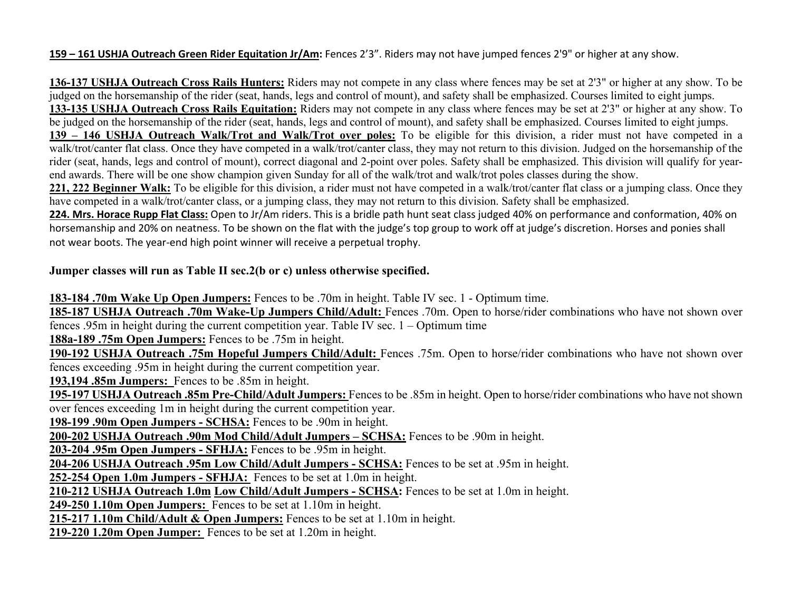### **159 – 161 USHJA Outreach Green Rider Equitation Jr/Am:** Fences 2'3". Riders may not have jumped fences 2'9" or higher at any show.

**136-137 USHJA Outreach Cross Rails Hunters:** Riders may not compete in any class where fences may be set at 2'3" or higher at any show. To be judged on the horsemanship of the rider (seat, hands, legs and control of mount), and safety shall be emphasized. Courses limited to eight jumps. **133-135 USHJA Outreach Cross Rails Equitation:** Riders may not compete in any class where fences may be set at 2'3" or higher at any show. To be judged on the horsemanship of the rider (seat, hands, legs and control of mount), and safety shall be emphasized. Courses limited to eight jumps. **139 – 146 USHJA Outreach Walk/Trot and Walk/Trot over poles:** To be eligible for this division, a rider must not have competed in a walk/trot/canter flat class. Once they have competed in a walk/trot/canter class, they may not return to this division. Judged on the horsemanship of the rider (seat, hands, legs and control of mount), correct diagonal and 2-point over poles. Safety shall be emphasized. This division will qualify for yearend awards. There will be one show champion given Sunday for all of the walk/trot and walk/trot poles classes during the show.

**221, 222 Beginner Walk:** To be eligible for this division, a rider must not have competed in a walk/trot/canter flat class or a jumping class. Once they have competed in a walk/trot/canter class, or a jumping class, they may not return to this division. Safety shall be emphasized.

**224. Mrs. Horace Rupp Flat Class:** Open to Jr/Am riders. This is a bridle path hunt seat class judged 40% on performance and conformation, 40% on horsemanship and 20% on neatness. To be shown on the flat with the judge's top group to work off at judge's discretion. Horses and ponies shall not wear boots. The year-end high point winner will receive a perpetual trophy.

### **Jumper classes will run as Table II sec.2(b or c) unless otherwise specified.**

**183-184 .70m Wake Up Open Jumpers:** Fences to be .70m in height. Table IV sec. 1 - Optimum time.

**185-187 USHJA Outreach .70m Wake-Up Jumpers Child/Adult:** Fences .70m. Open to horse/rider combinations who have not shown over fences .95m in height during the current competition year. Table IV sec. 1 – Optimum time

**188a-189 .75m Open Jumpers:** Fences to be .75m in height.

**190-192 USHJA Outreach .75m Hopeful Jumpers Child/Adult:** Fences .75m. Open to horse/rider combinations who have not shown over fences exceeding .95m in height during the current competition year.

**193,194 .85m Jumpers:** Fences to be .85m in height.

**195-197 USHJA Outreach .85m Pre-Child/Adult Jumpers:** Fences to be .85m in height. Open to horse/rider combinations who have not shown over fences exceeding 1m in height during the current competition year.

**198-199 .90m Open Jumpers - SCHSA:** Fences to be .90m in height.

**200-202 USHJA Outreach .90m Mod Child/Adult Jumpers – SCHSA:** Fences to be .90m in height.

**203-204 .95m Open Jumpers - SFHJA:** Fences to be .95m in height.

**204-206 USHJA Outreach .95m Low Child/Adult Jumpers - SCHSA:** Fences to be set at .95m in height.

**252-254 Open 1.0m Jumpers - SFHJA:** Fences to be set at 1.0m in height.

**210-212 USHJA Outreach 1.0m Low Child/Adult Jumpers - SCHSA:** Fences to be set at 1.0m in height.

**249-250 1.10m Open Jumpers:** Fences to be set at 1.10m in height.

**215-217 1.10m Child/Adult & Open Jumpers:** Fences to be set at 1.10m in height.

**219-220 1.20m Open Jumper:** Fences to be set at 1.20m in height.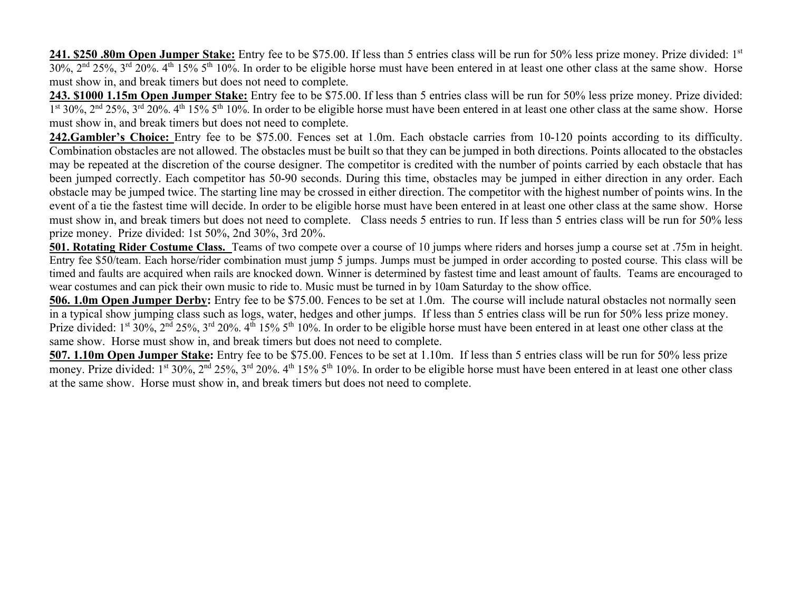**241. \$250 .80m Open Jumper Stake:** Entry fee to be \$75.00. If less than 5 entries class will be run for 50% less prize money. Prize divided: 1st  $30\%$ ,  $2^{\text{nd}}$   $25\%$ ,  $3^{\text{rd}}$   $20\%$ .  $4^{\text{th}}$  15%  $5^{\text{th}}$  10%. In order to be eligible horse must have been entered in at least one other class at the same show. Horse must show in, and break timers but does not need to complete.

**243. \$1000 1.15m Open Jumper Stake:** Entry fee to be \$75.00. If less than 5 entries class will be run for 50% less prize money. Prize divided:  $1^{\text{st}}$  30%,  $2^{\text{nd}}$  25%,  $3^{\text{rd}}$  20%.  $4^{\text{th}}$  15%  $5^{\text{th}}$  10%. In order to be eligible horse must have been entered in at least one other class at the same show. Horse must show in, and break timers but does not need to complete.

**242.Gambler's Choice:** Entry fee to be \$75.00. Fences set at 1.0m. Each obstacle carries from 10-120 points according to its difficulty. Combination obstacles are not allowed. The obstacles must be built so that they can be jumped in both directions. Points allocated to the obstacles may be repeated at the discretion of the course designer. The competitor is credited with the number of points carried by each obstacle that has been jumped correctly. Each competitor has 50-90 seconds. During this time, obstacles may be jumped in either direction in any order. Each obstacle may be jumped twice. The starting line may be crossed in either direction. The competitor with the highest number of points wins. In the event of a tie the fastest time will decide. In order to be eligible horse must have been entered in at least one other class at the same show. Horse must show in, and break timers but does not need to complete. Class needs 5 entries to run. If less than 5 entries class will be run for 50% less prize money. Prize divided: 1st 50%, 2nd 30%, 3rd 20%.

**501. Rotating Rider Costume Class.** Teams of two compete over a course of 10 jumps where riders and horses jump a course set at .75m in height. Entry fee \$50/team. Each horse/rider combination must jump 5 jumps. Jumps must be jumped in order according to posted course. This class will be timed and faults are acquired when rails are knocked down. Winner is determined by fastest time and least amount of faults. Teams are encouraged to wear costumes and can pick their own music to ride to. Music must be turned in by 10am Saturday to the show office.

**506. 1.0m Open Jumper Derby:** Entry fee to be \$75.00. Fences to be set at 1.0m. The course will include natural obstacles not normally seen in a typical show jumping class such as logs, water, hedges and other jumps. If less than 5 entries class will be run for 50% less prize money. Prize divided: 1<sup>st</sup> 30%, 2<sup>nd</sup> 25%, 3<sup>rd</sup> 20%. 4<sup>th</sup> 15% 5<sup>th</sup> 10%. In order to be eligible horse must have been entered in at least one other class at the same show. Horse must show in, and break timers but does not need to complete.

**507. 1.10m Open Jumper Stake:** Entry fee to be \$75.00. Fences to be set at 1.10m. If less than 5 entries class will be run for 50% less prize money. Prize divided: 1<sup>st</sup> 30%, 2<sup>nd</sup> 25%, 3<sup>rd</sup> 20%. 4<sup>th</sup> 15% 5<sup>th</sup> 10%. In order to be eligible horse must have been entered in at least one other class at the same show. Horse must show in, and break timers but does not need to complete.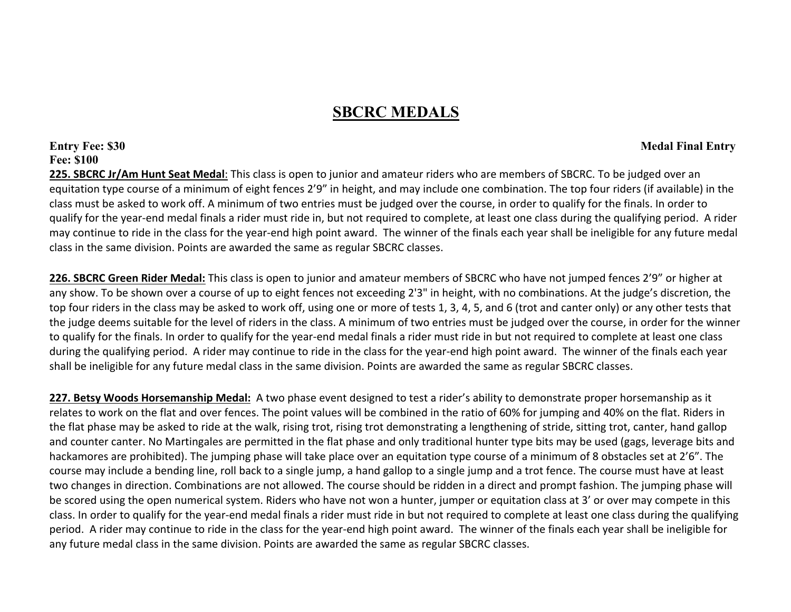# **SBCRC MEDALS**

# **Entry Fee: \$30 Medal Final Entry Fee: \$100**

**225. SBCRC Jr/Am Hunt Seat Medal**: This class is open to junior and amateur riders who are members of SBCRC. To be judged over an equitation type course of a minimum of eight fences 2'9" in height, and may include one combination. The top four riders (if available) in the class must be asked to work off. A minimum of two entries must be judged over the course, in order to qualify for the finals. In order to qualify for the year-end medal finals a rider must ride in, but not required to complete, at least one class during the qualifying period. A rider may continue to ride in the class for the year-end high point award. The winner of the finals each year shall be ineligible for any future medal class in the same division. Points are awarded the same as regular SBCRC classes.

**226. SBCRC Green Rider Medal:** This class is open to junior and amateur members of SBCRC who have not jumped fences 2'9" or higher at any show. To be shown over a course of up to eight fences not exceeding 2'3" in height, with no combinations. At the judge's discretion, the top four riders in the class may be asked to work off, using one or more of tests 1, 3, 4, 5, and 6 (trot and canter only) or any other tests that the judge deems suitable for the level of riders in the class. A minimum of two entries must be judged over the course, in order for the winner to qualify for the finals. In order to qualify for the year-end medal finals a rider must ride in but not required to complete at least one class during the qualifying period. A rider may continue to ride in the class for the year-end high point award. The winner of the finals each year shall be ineligible for any future medal class in the same division. Points are awarded the same as regular SBCRC classes.

**227. Betsy Woods Horsemanship Medal:** A two phase event designed to test a rider's ability to demonstrate proper horsemanship as it relates to work on the flat and over fences. The point values will be combined in the ratio of 60% for jumping and 40% on the flat. Riders in the flat phase may be asked to ride at the walk, rising trot, rising trot demonstrating a lengthening of stride, sitting trot, canter, hand gallop and counter canter. No Martingales are permitted in the flat phase and only traditional hunter type bits may be used (gags, leverage bits and hackamores are prohibited). The jumping phase will take place over an equitation type course of a minimum of 8 obstacles set at 2'6". The course may include a bending line, roll back to a single jump, a hand gallop to a single jump and a trot fence. The course must have at least two changes in direction. Combinations are not allowed. The course should be ridden in a direct and prompt fashion. The jumping phase will be scored using the open numerical system. Riders who have not won a hunter, jumper or equitation class at 3' or over may compete in this class. In order to qualify for the year-end medal finals a rider must ride in but not required to complete at least one class during the qualifying period. A rider may continue to ride in the class for the year-end high point award. The winner of the finals each year shall be ineligible for any future medal class in the same division. Points are awarded the same as regular SBCRC classes.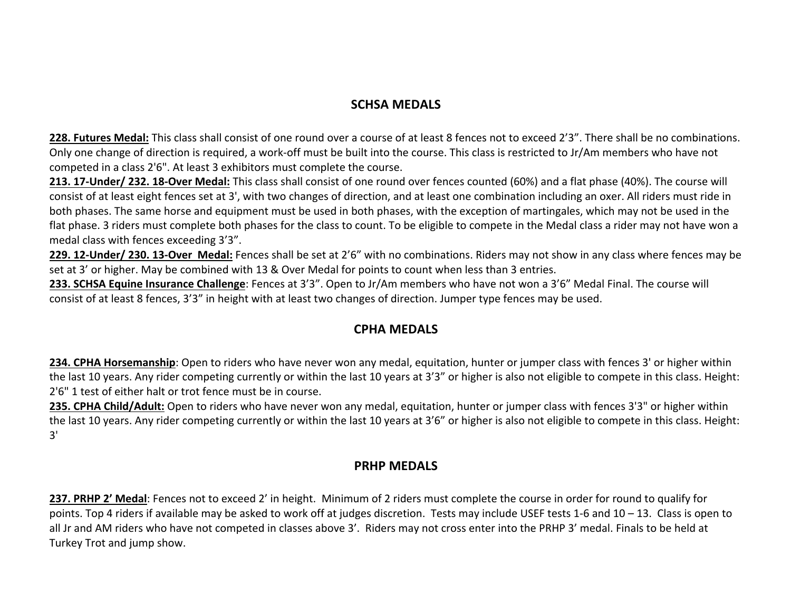# **SCHSA MEDALS**

**228. Futures Medal:** This class shall consist of one round over a course of at least 8 fences not to exceed 2'3". There shall be no combinations. Only one change of direction is required, a work-off must be built into the course. This class is restricted to Jr/Am members who have not competed in a class 2'6". At least 3 exhibitors must complete the course.

**213. 17-Under/ 232. 18-Over Medal:** This class shall consist of one round over fences counted (60%) and a flat phase (40%). The course will consist of at least eight fences set at 3', with two changes of direction, and at least one combination including an oxer. All riders must ride in both phases. The same horse and equipment must be used in both phases, with the exception of martingales, which may not be used in the flat phase. 3 riders must complete both phases for the class to count. To be eligible to compete in the Medal class a rider may not have won a medal class with fences exceeding 3'3".

**229. 12-Under/ 230. 13-Over Medal:** Fences shall be set at 2'6" with no combinations. Riders may not show in any class where fences may be set at 3' or higher. May be combined with 13 & Over Medal for points to count when less than 3 entries.

**233. SCHSA Equine Insurance Challenge**: Fences at 3'3". Open to Jr/Am members who have not won a 3'6" Medal Final. The course will consist of at least 8 fences, 3'3" in height with at least two changes of direction. Jumper type fences may be used.

# **CPHA MEDALS**

**234. CPHA Horsemanship**: Open to riders who have never won any medal, equitation, hunter or jumper class with fences 3' or higher within the last 10 years. Any rider competing currently or within the last 10 years at 3'3" or higher is also not eligible to compete in this class. Height: 2'6" 1 test of either halt or trot fence must be in course.

**235. CPHA Child/Adult:** Open to riders who have never won any medal, equitation, hunter or jumper class with fences 3'3" or higher within the last 10 years. Any rider competing currently or within the last 10 years at 3'6" or higher is also not eligible to compete in this class. Height: 3'

### **PRHP MEDALS**

**237. PRHP 2' Medal**: Fences not to exceed 2' in height. Minimum of 2 riders must complete the course in order for round to qualify for points. Top 4 riders if available may be asked to work off at judges discretion. Tests may include USEF tests 1-6 and 10 – 13. Class is open to all Jr and AM riders who have not competed in classes above 3'. Riders may not cross enter into the PRHP 3' medal. Finals to be held at Turkey Trot and jump show.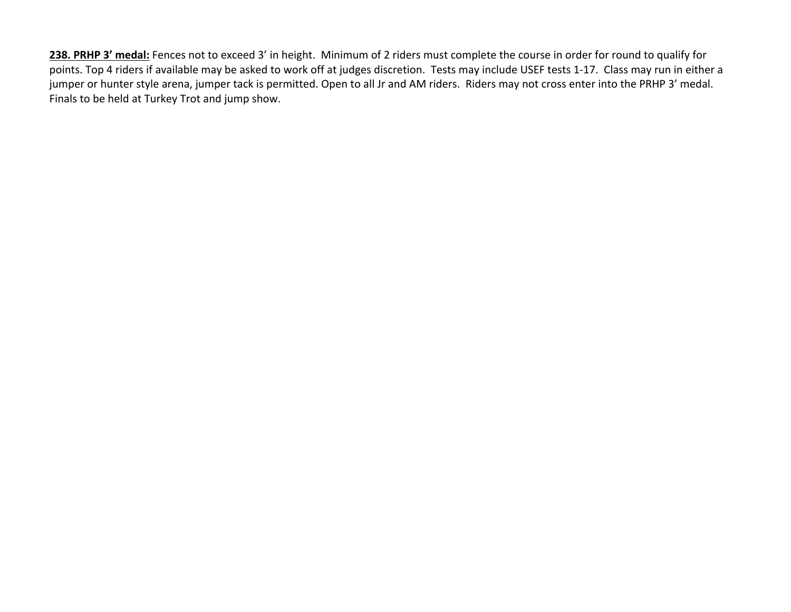**238. PRHP 3' medal:** Fences not to exceed 3' in height. Minimum of 2 riders must complete the course in order for round to qualify for points. Top 4 riders if available may be asked to work off at judges discretion. Tests may include USEF tests 1-17. Class may run in either a jumper or hunter style arena, jumper tack is permitted. Open to all Jr and AM riders. Riders may not cross enter into the PRHP 3' medal. Finals to be held at Turkey Trot and jump show.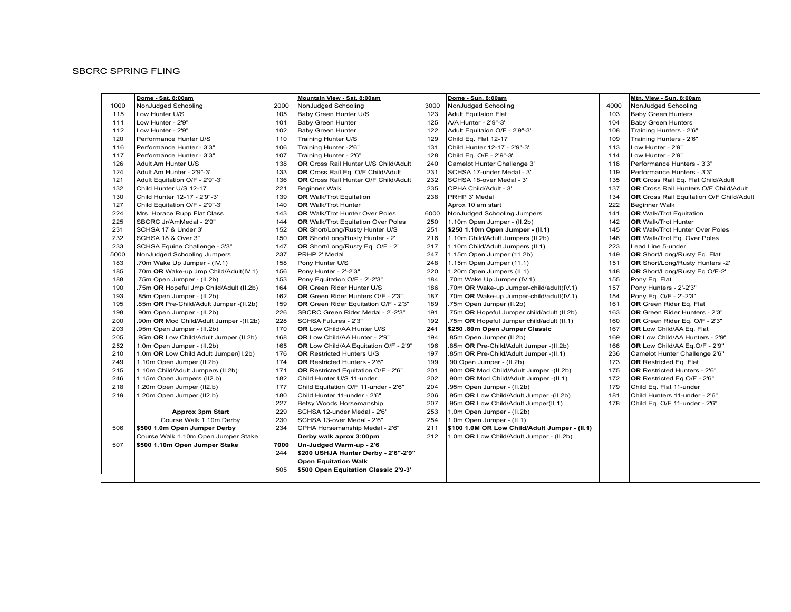#### **SBCRC SPRING FLING**

| NonJudged Schooling<br><b>Baby Green Hunters</b><br><b>Baby Green Hunters</b><br>Training Hunters - 2'6"<br>Training Hunters - 2'6"<br>Performance Hunters - 3'3"<br>Performance Hunters - 3'3"<br>OR Cross Rail Eq. Flat Child/Adult<br>OR Cross Rail Hunters O/F Child/Adult |
|--------------------------------------------------------------------------------------------------------------------------------------------------------------------------------------------------------------------------------------------------------------------------------|
|                                                                                                                                                                                                                                                                                |
|                                                                                                                                                                                                                                                                                |
|                                                                                                                                                                                                                                                                                |
|                                                                                                                                                                                                                                                                                |
|                                                                                                                                                                                                                                                                                |
|                                                                                                                                                                                                                                                                                |
|                                                                                                                                                                                                                                                                                |
|                                                                                                                                                                                                                                                                                |
|                                                                                                                                                                                                                                                                                |
|                                                                                                                                                                                                                                                                                |
|                                                                                                                                                                                                                                                                                |
| OR Cross Rail Equitation O/F Child/Adult                                                                                                                                                                                                                                       |
|                                                                                                                                                                                                                                                                                |
| OR Walk/Trot Equitation                                                                                                                                                                                                                                                        |
| <b>OR</b> Walk/Trot Hunter                                                                                                                                                                                                                                                     |
| <b>OR</b> Walk/Trot Hunter Over Poles                                                                                                                                                                                                                                          |
| OR Walk/Trot Eq. Over Poles                                                                                                                                                                                                                                                    |
|                                                                                                                                                                                                                                                                                |
| OR Short/Long/Rusty Eq. Flat                                                                                                                                                                                                                                                   |
| OR Short/Long/Rusty Hunters -2'                                                                                                                                                                                                                                                |
| OR Short/Long/Rusty Eq O/F-2'                                                                                                                                                                                                                                                  |
|                                                                                                                                                                                                                                                                                |
| Pony Hunters - 2'-2'3"                                                                                                                                                                                                                                                         |
| Pony Eq. O/F - 2'-2'3"                                                                                                                                                                                                                                                         |
| OR Green Rider Eq. Flat                                                                                                                                                                                                                                                        |
| OR Green Rider Hunters - 2'3"                                                                                                                                                                                                                                                  |
| OR Green Rider Eq. O/F - 2'3"                                                                                                                                                                                                                                                  |
| OR Low Child/AA Eq. Flat                                                                                                                                                                                                                                                       |
| OR Low Child/AA Hunters - 2'9"                                                                                                                                                                                                                                                 |
| OR Low Child/AA Eq.O/F - 2'9"                                                                                                                                                                                                                                                  |
| Camelot Hunter Challenge 2'6"                                                                                                                                                                                                                                                  |
| OR Restricted Eq. Flat                                                                                                                                                                                                                                                         |
| OR Restricted Hunters - 2'6"                                                                                                                                                                                                                                                   |
| OR Restricted Eq.O/F - 2'6"                                                                                                                                                                                                                                                    |
| Child Eq. Flat 11-under                                                                                                                                                                                                                                                        |
| Child Hunters 11-under - 2'6"                                                                                                                                                                                                                                                  |
| Child Eq. O/F 11-under - 2'6"                                                                                                                                                                                                                                                  |
|                                                                                                                                                                                                                                                                                |
|                                                                                                                                                                                                                                                                                |
|                                                                                                                                                                                                                                                                                |
|                                                                                                                                                                                                                                                                                |
|                                                                                                                                                                                                                                                                                |
|                                                                                                                                                                                                                                                                                |
|                                                                                                                                                                                                                                                                                |
|                                                                                                                                                                                                                                                                                |
|                                                                                                                                                                                                                                                                                |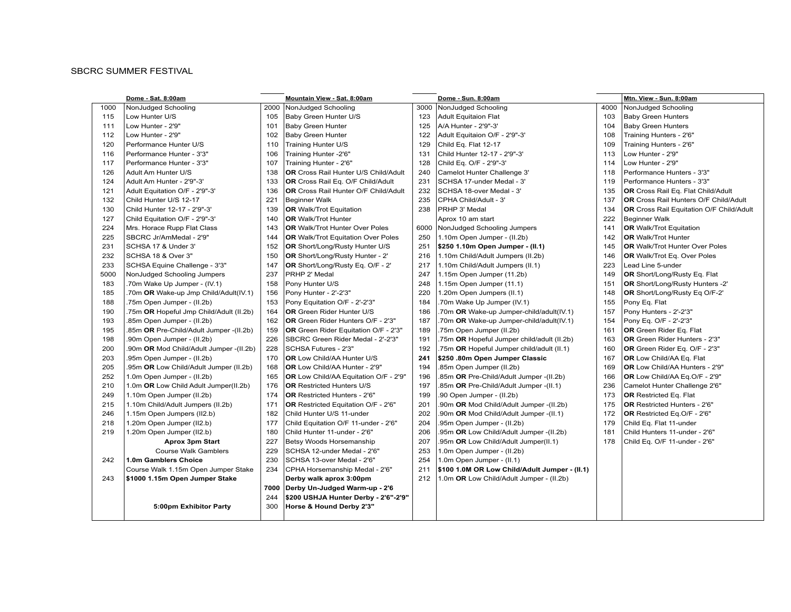#### **SBCRC SUMMER FESTIVAL**

|      | Dome - Sat. 8:00am                      |      | Mountain View - Sat. 8:00am                 |      | Dome - Sun. 8:00am                            |      | Mtn. View - Sun. 8:00am                         |
|------|-----------------------------------------|------|---------------------------------------------|------|-----------------------------------------------|------|-------------------------------------------------|
| 1000 | NonJudged Schooling                     | 2000 | NonJudged Schooling                         | 3000 | NonJudged Schooling                           | 4000 | NonJudged Schooling                             |
| 115  | Low Hunter U/S                          | 105  | Baby Green Hunter U/S                       | 123  | <b>Adult Equitaion Flat</b>                   | 103  | <b>Baby Green Hunters</b>                       |
| 111  | Low Hunter - 2'9"                       | 101  | <b>Baby Green Hunter</b>                    | 125  | A/A Hunter - 2'9"-3'                          | 104  | <b>Baby Green Hunters</b>                       |
| 112  | Low Hunter - 2'9"                       | 102  | <b>Baby Green Hunter</b>                    | 122  | Adult Equitaion O/F - 2'9"-3'                 | 108  | Training Hunters - 2'6"                         |
| 120  | Performance Hunter U/S                  | 110  | Training Hunter U/S                         | 129  | Child Eq. Flat 12-17                          | 109  | Training Hunters - 2'6"                         |
| 116  | Performance Hunter - 3'3"               | 106  | Training Hunter -2'6"                       | 131  | Child Hunter 12-17 - 2'9"-3'                  | 113  | Low Hunter - 2'9"                               |
| 117  | Performance Hunter - 3'3"               | 107  | Training Hunter - 2'6"                      | 128  | Child Eq. O/F - 2'9"-3'                       | 114  | Low Hunter - 2'9"                               |
| 126  | Adult Am Hunter U/S                     | 138  | <b>OR</b> Cross Rail Hunter U/S Child/Adult | 240  | Camelot Hunter Challenge 3'                   | 118  | Performance Hunters - 3'3"                      |
| 124  | Adult Am Hunter - 2'9"-3'               | 133  | OR Cross Rail Eq. O/F Child/Adult           | 231  | SCHSA 17-under Medal - 3'                     | 119  | Performance Hunters - 3'3"                      |
| 121  | Adult Equitation O/F - 2'9"-3'          | 136  | <b>OR</b> Cross Rail Hunter O/F Child/Adult | 232  | SCHSA 18-over Medal - 3'                      | 135  | OR Cross Rail Eq. Flat Child/Adult              |
| 132  | Child Hunter U/S 12-17                  | 221  | <b>Beginner Walk</b>                        | 235  | CPHA Child/Adult - 3'                         | 137  | <b>OR</b> Cross Rail Hunters O/F Child/Adult    |
| 130  | Child Hunter 12-17 - 2'9"-3'            | 139  | <b>OR</b> Walk/Trot Equitation              | 238  | PRHP 3' Medal                                 | 134  | <b>OR</b> Cross Rail Equitation O/F Child/Adult |
| 127  | Child Equitation O/F - 2'9"-3'          | 140  | <b>OR</b> Walk/Trot Hunter                  |      | Aprox 10 am start                             | 222  | Beginner Walk                                   |
| 224  | Mrs. Horace Rupp Flat Class             | 143  | <b>OR</b> Walk/Trot Hunter Over Poles       | 6000 | NonJudged Schooling Jumpers                   | 141  | <b>OR</b> Walk/Trot Equitation                  |
| 225  | SBCRC Jr/AmMedal - 2'9"                 | 144  | <b>OR</b> Walk/Trot Equitation Over Poles   | 250  | 1.10m Open Jumper - (II.2b)                   | 142  | <b>OR</b> Walk/Trot Hunter                      |
| 231  | SCHSA 17 & Under 3'                     | 152  | <b>OR</b> Short/Long/Rusty Hunter U/S       | 251  | \$250 1.10m Open Jumper - (II.1)              | 145  | <b>OR</b> Walk/Trot Hunter Over Poles           |
| 232  | SCHSA 18 & Over 3"                      | 150  | <b>OR</b> Short/Long/Rusty Hunter - 2'      | 216  | 1.10m Child/Adult Jumpers (II.2b)             | 146  | <b>OR</b> Walk/Trot Eq. Over Poles              |
| 233  | SCHSA Equine Challenge - 3'3"           | 147  | OR Short/Long/Rusty Eq. O/F - 2'            | 217  | 1.10m Child/Adult Jumpers (II.1)              | 223  | Lead Line 5-under                               |
| 5000 | NonJudged Schooling Jumpers             | 237  | PRHP 2' Medal                               | 247  | 1.15m Open Jumper (11.2b)                     | 149  | OR Short/Long/Rusty Eq. Flat                    |
| 183  | .70m Wake Up Jumper - (IV.1)            | 158  | Pony Hunter U/S                             | 248  | 1.15m Open Jumper (11.1)                      | 151  | OR Short/Long/Rusty Hunters -2'                 |
| 185  | .70m OR Wake-up Jmp Child/Adult(IV.1)   | 156  | Pony Hunter - 2'-2'3"                       | 220  | 1.20m Open Jumpers (II.1)                     | 148  | OR Short/Long/Rusty Eq O/F-2'                   |
| 188  | .75m Open Jumper - (II.2b)              | 153  | Pony Equitation O/F - 2'-2'3"               | 184  | .70m Wake Up Jumper (IV.1)                    | 155  | Pony Eq. Flat                                   |
| 190  | .75m OR Hopeful Jmp Child/Adult (II.2b) | 164  | <b>OR</b> Green Rider Hunter U/S            | 186  | .70m OR Wake-up Jumper-child/adult(IV.1)      | 157  | Pony Hunters - 2'-2'3"                          |
| 193  | .85m Open Jumper - (II.2b)              | 162  | OR Green Rider Hunters O/F - 2'3"           | 187  | .70m OR Wake-up Jumper-child/adult(IV.1)      | 154  | Pony Eq. O/F - 2'-2'3"                          |
| 195  | .85m OR Pre-Child/Adult Jumper -(II.2b) | 159  | OR Green Rider Equitation O/F - 2'3"        | 189  | .75m Open Jumper (II.2b)                      | 161  | <b>OR</b> Green Rider Eq. Flat                  |
| 198  | .90m Open Jumper - (II.2b)              | 226  | SBCRC Green Rider Medal - 2'-2'3"           | 191  | .75m OR Hopeful Jumper child/adult (II.2b)    | 163  | OR Green Rider Hunters - 2'3"                   |
| 200  | .90m OR Mod Child/Adult Jumper -(II.2b) | 228  | SCHSA Futures - 2'3"                        | 192  | .75m OR Hopeful Jumper child/adult (II.1)     | 160  | OR Green Rider Eq. O/F - 2'3"                   |
| 203  | .95m Open Jumper - (II.2b)              | 170  | OR Low Child/AA Hunter U/S                  | 241  | \$250.80m Open Jumper Classic                 | 167  | OR Low Child/AA Eq. Flat                        |
| 205  | .95m OR Low Child/Adult Jumper (II.2b)  | 168  | OR Low Child/AA Hunter - 2'9"               | 194  | .85m Open Jumper (II.2b)                      | 169  | OR Low Child/AA Hunters - 2'9"                  |
| 252  | 1.0m Open Jumper - (II.2b)              | 165  | OR Low Child/AA Equitation O/F - 2'9"       | 196  | .85m OR Pre-Child/Adult Jumper -(II.2b)       | 166  | OR Low Child/AA Eq.O/F - 2'9"                   |
| 210  | 1.0m OR Low Child Adult Jumper(II.2b)   | 176  | <b>OR Restricted Hunters U/S</b>            | 197  | .85m OR Pre-Child/Adult Jumper -(II.1)        | 236  | Camelot Hunter Challenge 2'6"                   |
| 249  | 1.10m Open Jumper (II.2b)               | 174  | <b>OR</b> Restricted Hunters - 2'6"         | 199  | .90 Open Jumper - (II.2b)                     | 173  | <b>OR</b> Restricted Eq. Flat                   |
| 215  | 1.10m Child/Adult Jumpers (II.2b)       | 171  | <b>OR</b> Restricted Equitation O/F - 2'6"  | 201  | .90m OR Mod Child/Adult Jumper -(II.2b)       | 175  | <b>OR</b> Restricted Hunters - 2'6"             |
| 246  | 1.15m Open Jumpers (II2.b)              | 182  | Child Hunter U/S 11-under                   | 202  | .90m OR Mod Child/Adult Jumper -(II.1)        | 172  | OR Restricted Eq.O/F - 2'6"                     |
| 218  | 1.20m Open Jumper (II2.b)               | 177  | Child Equitation O/F 11-under - 2'6"        | 204  | .95m Open Jumper - (II.2b)                    | 179  | Child Eq. Flat 11-under                         |
| 219  | 1.20m Open Jumper (II2.b)               | 180  | Child Hunter 11-under - 2'6"                | 206  | .95m OR Low Child/Adult Jumper -(II.2b)       | 181  | Child Hunters 11-under - 2'6"                   |
|      | <b>Aprox 3pm Start</b>                  | 227  | Betsy Woods Horsemanship                    | 207  | .95m OR Low Child/Adult Jumper(II.1)          | 178  | Child Eq. O/F 11-under - 2'6"                   |
|      | <b>Course Walk Gamblers</b>             | 229  | SCHSA 12-under Medal - 2'6"                 | 253  | 1.0m Open Jumper - (II.2b)                    |      |                                                 |
| 242  | 1.0m Gamblers Choice                    | 230  | SCHSA 13-over Medal - 2'6"                  | 254  | 1.0m Open Jumper - (II.1)                     |      |                                                 |
|      | Course Walk 1.15m Open Jumper Stake     | 234  | CPHA Horsemanship Medal - 2'6"              | 211  | \$100 1.0M OR Low Child/Adult Jumper - (II.1) |      |                                                 |
| 243  | \$1000 1.15m Open Jumper Stake          |      | Derby walk aprox 3:00pm                     | 212  | 1.0m OR Low Child/Adult Jumper - (II.2b)      |      |                                                 |
|      |                                         | 7000 | Derby Un-Judged Warm-up - 2'6               |      |                                               |      |                                                 |
|      |                                         | 244  | \$200 USHJA Hunter Derby - 2'6"-2'9"        |      |                                               |      |                                                 |
|      | 5:00pm Exhibitor Party                  | 300  | Horse & Hound Derby 2'3"                    |      |                                               |      |                                                 |
|      |                                         |      |                                             |      |                                               |      |                                                 |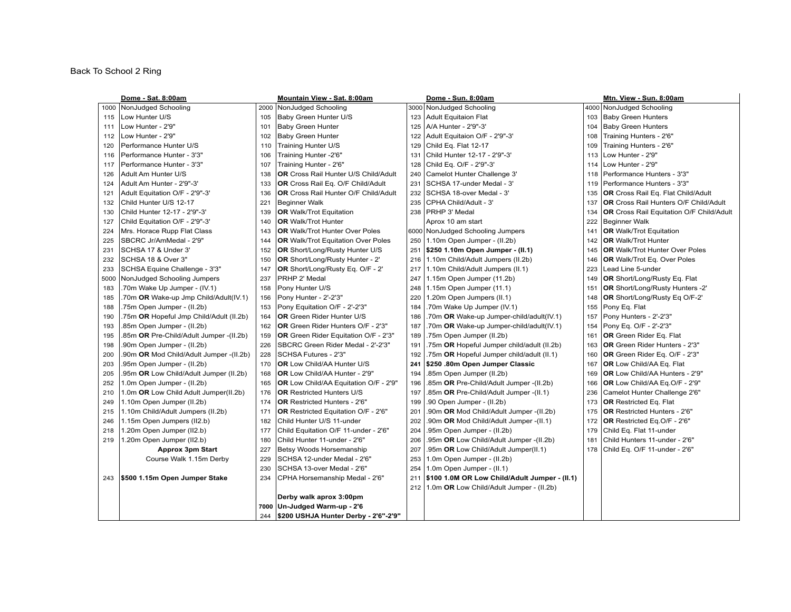### Back To School 2 Ring

|      | Dome - Sat. 8:00am                      |      | <b>Mountain View - Sat. 8:00am</b>          |     | Dome - Sun. 8:00am                            |     | Mtn. View - Sun. 8:00am                         |
|------|-----------------------------------------|------|---------------------------------------------|-----|-----------------------------------------------|-----|-------------------------------------------------|
| 1000 | NonJudged Schooling                     | 2000 | NonJudged Schooling                         |     | 3000 NonJudged Schooling                      |     | 4000 NonJudged Schooling                        |
| 115  | Low Hunter U/S                          | 105  | Baby Green Hunter U/S                       | 123 | <b>Adult Equitaion Flat</b>                   | 103 | <b>Baby Green Hunters</b>                       |
| 111  | Low Hunter - 2'9"                       | 101  | <b>Baby Green Hunter</b>                    | 125 | A/A Hunter - 2'9"-3'                          | 104 | <b>Baby Green Hunters</b>                       |
| 112  | Low Hunter - 2'9"                       | 102  | <b>Baby Green Hunter</b>                    | 122 | Adult Equitaion O/F - 2'9"-3'                 | 108 | Training Hunters - 2'6"                         |
| 120  | Performance Hunter U/S                  | 110  | Training Hunter U/S                         | 129 | Child Eq. Flat 12-17                          | 109 | Training Hunters - 2'6"                         |
| 116  | Performance Hunter - 3'3"               | 106  | Training Hunter -2'6"                       | 131 | Child Hunter 12-17 - 2'9"-3'                  | 113 | Low Hunter - 2'9"                               |
| 117  | Performance Hunter - 3'3"               | 107  | Training Hunter - 2'6"                      | 128 | Child Eq. O/F - 2'9"-3'                       | 114 | Low Hunter - 2'9"                               |
| 126  | Adult Am Hunter U/S                     | 138  | <b>OR</b> Cross Rail Hunter U/S Child/Adult | 240 | Camelot Hunter Challenge 3'                   | 118 | Performance Hunters - 3'3"                      |
| 124  | Adult Am Hunter - 2'9"-3'               | 133  | OR Cross Rail Eq. O/F Child/Adult           | 231 | SCHSA 17-under Medal - 3'                     | 119 | Performance Hunters - 3'3"                      |
| 121  | Adult Equitation O/F - 2'9"-3'          | 136  | <b>OR</b> Cross Rail Hunter O/F Child/Adult | 232 | SCHSA 18-over Medal - 3'                      | 135 | <b>OR</b> Cross Rail Eq. Flat Child/Adult       |
| 132  | Child Hunter U/S 12-17                  | 221  | <b>Beginner Walk</b>                        | 235 | CPHA Child/Adult - 3'                         | 137 | <b>OR</b> Cross Rail Hunters O/F Child/Adult    |
| 130  | Child Hunter 12-17 - 2'9"-3'            | 139  | <b>OR</b> Walk/Trot Equitation              | 238 | PRHP 3' Medal                                 | 134 | <b>OR</b> Cross Rail Equitation O/F Child/Adult |
| 127  | Child Equitation O/F - 2'9"-3'          | 140  | <b>OR</b> Walk/Trot Hunter                  |     | Aprox 10 am start                             | 222 | Beginner Walk                                   |
| 224  | Mrs. Horace Rupp Flat Class             | 143  | <b>OR</b> Walk/Trot Hunter Over Poles       |     | 6000 NonJudged Schooling Jumpers              | 141 | <b>OR</b> Walk/Trot Equitation                  |
| 225  | SBCRC Jr/AmMedal - 2'9"                 | 144  | <b>OR</b> Walk/Trot Equitation Over Poles   | 250 | 1.10m Open Jumper - (II.2b)                   | 142 | <b>OR</b> Walk/Trot Hunter                      |
| 231  | SCHSA 17 & Under 3'                     | 152  | OR Short/Long/Rusty Hunter U/S              | 251 | \$250 1.10m Open Jumper - (II.1)              | 145 | <b>OR</b> Walk/Trot Hunter Over Poles           |
| 232  | SCHSA 18 & Over 3"                      | 150  | OR Short/Long/Rusty Hunter - 2'             | 216 | 1.10m Child/Adult Jumpers (II.2b)             | 146 | OR Walk/Trot Eq. Over Poles                     |
| 233  | SCHSA Equine Challenge - 3'3"           | 147  | OR Short/Long/Rusty Eq. O/F - 2'            | 217 | 1.10m Child/Adult Jumpers (II.1)              | 223 | Lead Line 5-under                               |
| 5000 | NonJudged Schooling Jumpers             | 237  | PRHP 2' Medal                               | 247 | 1.15m Open Jumper (11.2b)                     | 149 | OR Short/Long/Rusty Eq. Flat                    |
| 183  | .70m Wake Up Jumper - (IV.1)            | 158  | Pony Hunter U/S                             | 248 | 1.15m Open Jumper (11.1)                      | 151 | OR Short/Long/Rusty Hunters -2'                 |
| 185  | .70m OR Wake-up Jmp Child/Adult(IV.1)   | 156  | Pony Hunter - 2'-2'3"                       | 220 | 1.20m Open Jumpers (II.1)                     | 148 | OR Short/Long/Rusty Eq O/F-2'                   |
| 188  | .75m Open Jumper - (II.2b)              | 153  | Pony Equitation O/F - 2'-2'3"               | 184 | .70m Wake Up Jumper (IV.1)                    | 155 | Pony Eq. Flat                                   |
| 190  | .75m OR Hopeful Jmp Child/Adult (II.2b) | 164  | <b>OR</b> Green Rider Hunter U/S            | 186 | .70m OR Wake-up Jumper-child/adult(IV.1)      | 157 | Pony Hunters - 2'-2'3"                          |
| 193  | .85m Open Jumper - (II.2b)              | 162  | <b>OR</b> Green Rider Hunters O/F - 2'3"    | 187 | .70m OR Wake-up Jumper-child/adult(IV.1)      | 154 | Pony Eq. O/F - 2'-2'3"                          |
| 195  | .85m OR Pre-Child/Adult Jumper -(II.2b) | 159  | <b>OR</b> Green Rider Equitation O/F - 2'3" | 189 | .75m Open Jumper (II.2b)                      | 161 | <b>OR</b> Green Rider Eq. Flat                  |
| 198  | .90m Open Jumper - (II.2b)              | 226  | SBCRC Green Rider Medal - 2'-2'3"           | 191 | .75m OR Hopeful Jumper child/adult (II.2b)    | 163 | OR Green Rider Hunters - 2'3"                   |
| 200  | .90m OR Mod Child/Adult Jumper -(II.2b) | 228  | SCHSA Futures - 2'3"                        | 192 | .75m OR Hopeful Jumper child/adult (II.1)     | 160 | OR Green Rider Eq. O/F - 2'3"                   |
| 203  | 95m Open Jumper - (II.2b)               | 170  | OR Low Child/AA Hunter U/S                  | 241 | \$250 .80m Open Jumper Classic                | 167 | OR Low Child/AA Eq. Flat                        |
| 205  | 95m OR Low Child/Adult Jumper (II.2b)   | 168  | <b>OR</b> Low Child/AA Hunter - 2'9"        | 194 | .85m Open Jumper (II.2b)                      | 169 | <b>OR</b> Low Child/AA Hunters - 2'9"           |
| 252  | 1.0m Open Jumper - (II.2b)              | 165  | OR Low Child/AA Equitation O/F - 2'9"       | 196 | .85m OR Pre-Child/Adult Jumper -(II.2b)       | 166 | OR Low Child/AA Eq.O/F - 2'9"                   |
| 210  | 1.0m OR Low Child Adult Jumper(II.2b)   | 176  | <b>OR Restricted Hunters U/S</b>            | 197 | .85m OR Pre-Child/Adult Jumper -(II.1)        | 236 | Camelot Hunter Challenge 2'6"                   |
| 249  | 1.10m Open Jumper (II.2b)               | 174  | OR Restricted Hunters - 2'6"                | 199 | .90 Open Jumper - (II.2b)                     | 173 | <b>OR</b> Restricted Eq. Flat                   |
| 215  | 1.10m Child/Adult Jumpers (II.2b)       | 171  | OR Restricted Equitation O/F - 2'6"         | 201 | .90m OR Mod Child/Adult Jumper -(II.2b)       | 175 | OR Restricted Hunters - 2'6"                    |
| 246  | 1.15m Open Jumpers (II2.b)              | 182  | Child Hunter U/S 11-under                   | 202 | .90m OR Mod Child/Adult Jumper -(II.1)        | 172 | OR Restricted Eq.O/F - 2'6"                     |
| 218  | 1.20m Open Jumper (II2.b)               | 177  | Child Equitation O/F 11-under - 2'6"        | 204 | .95m Open Jumper - (II.2b)                    | 179 | Child Eq. Flat 11-under                         |
| 219  | 1.20m Open Jumper (II2.b)               | 180  | Child Hunter 11-under - 2'6"                | 206 | .95m OR Low Child/Adult Jumper -(II.2b)       | 181 | Child Hunters 11-under - 2'6"                   |
|      | <b>Approx 3pm Start</b>                 | 227  | Betsy Woods Horsemanship                    | 207 | .95m OR Low Child/Adult Jumper(II.1)          | 178 | Child Eq. O/F 11-under - 2'6"                   |
|      | Course Walk 1.15m Derby                 | 229  | SCHSA 12-under Medal - 2'6"                 | 253 | 1.0m Open Jumper - (II.2b)                    |     |                                                 |
|      |                                         | 230  | SCHSA 13-over Medal - 2'6"                  | 254 | 1.0m Open Jumper - (II.1)                     |     |                                                 |
| 243  | \$500 1.15m Open Jumper Stake           | 234  | CPHA Horsemanship Medal - 2'6"              | 211 | \$100 1.0M OR Low Child/Adult Jumper - (II.1) |     |                                                 |
|      |                                         |      |                                             | 212 | 1.0m OR Low Child/Adult Jumper - (II.2b)      |     |                                                 |
|      |                                         |      | Derby walk aprox 3:00pm                     |     |                                               |     |                                                 |
|      |                                         | 7000 | Un-Judged Warm-up - 2'6                     |     |                                               |     |                                                 |
|      |                                         | 244  | \$200 USHJA Hunter Derby - 2'6"-2'9"        |     |                                               |     |                                                 |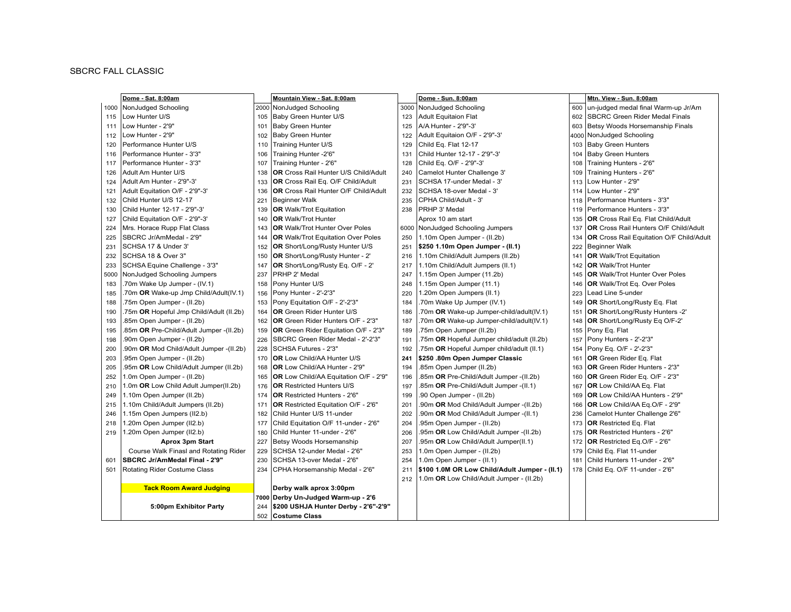### **SBCRC FALL CLASSIC**

|      | Dome - Sat. 8:00am                      |     | Mountain View - Sat. 8:00am                 |      | Dome - Sun. 8:00am                            |     | Mtn. View - Sun. 8:00am                         |
|------|-----------------------------------------|-----|---------------------------------------------|------|-----------------------------------------------|-----|-------------------------------------------------|
|      | 1000 NonJudged Schooling                |     | 2000 NonJudged Schooling                    | 3000 | NonJudged Schooling                           | 600 | un-judged medal final Warm-up Jr/Am             |
| 115  | Low Hunter U/S                          | 105 | Baby Green Hunter U/S                       | 123  | <b>Adult Equitaion Flat</b>                   | 602 | SBCRC Green Rider Medal Finals                  |
| 111  | Low Hunter - 2'9"                       | 101 | <b>Baby Green Hunter</b>                    | 125  | A/A Hunter - 2'9"-3'                          | 603 | Betsy Woods Horsemanship Finals                 |
| 112  | Low Hunter - 2'9"                       | 102 | <b>Baby Green Hunter</b>                    | 122  | Adult Equitaion O/F - 2'9"-3'                 |     | 4000 NonJudged Schooling                        |
| 120  | Performance Hunter U/S                  | 110 | Training Hunter U/S                         | 129  | Child Eq. Flat 12-17                          | 103 | <b>Baby Green Hunters</b>                       |
| 116  | Performance Hunter - 3'3"               | 106 | Training Hunter -2'6"                       | 131  | Child Hunter 12-17 - 2'9"-3'                  | 104 | <b>Baby Green Hunters</b>                       |
| 117  | Performance Hunter - 3'3"               | 107 | Training Hunter - 2'6"                      | 128  | Child Eq. O/F - 2'9"-3'                       | 108 | Training Hunters - 2'6"                         |
| 126  | Adult Am Hunter U/S                     | 138 | <b>OR</b> Cross Rail Hunter U/S Child/Adult | 240  | Camelot Hunter Challenge 3'                   | 109 | Training Hunters - 2'6"                         |
| 124  | Adult Am Hunter - 2'9"-3'               | 133 | OR Cross Rail Eq. O/F Child/Adult           | 231  | SCHSA 17-under Medal - 3'                     | 113 | Low Hunter - 2'9"                               |
| 121  | Adult Equitation O/F - 2'9"-3'          | 136 | <b>OR</b> Cross Rail Hunter O/F Child/Adult | 232  | SCHSA 18-over Medal - 3'                      | 114 | Low Hunter - 2'9"                               |
| 132  | Child Hunter U/S 12-17                  | 221 | <b>Beginner Walk</b>                        | 235  | CPHA Child/Adult - 3'                         | 118 | Performance Hunters - 3'3"                      |
| 130  | Child Hunter 12-17 - 2'9"-3'            | 139 | <b>OR</b> Walk/Trot Equitation              | 238  | PRHP 3' Medal                                 | 119 | Performance Hunters - 3'3"                      |
| 127  | Child Equitation O/F - 2'9"-3'          | 140 | <b>OR</b> Walk/Trot Hunter                  |      | Aprox 10 am start                             | 135 | OR Cross Rail Eq. Flat Child/Adult              |
| 224  | Mrs. Horace Rupp Flat Class             | 143 | <b>OR</b> Walk/Trot Hunter Over Poles       | 6000 | NonJudged Schooling Jumpers                   | 137 | OR Cross Rail Hunters O/F Child/Adult           |
| 225  | SBCRC Jr/AmMedal - 2'9"                 | 144 | <b>OR</b> Walk/Trot Equitation Over Poles   | 250  | 1.10m Open Jumper - (II.2b)                   | 134 | <b>OR</b> Cross Rail Equitation O/F Child/Adult |
| 231  | SCHSA 17 & Under 3'                     | 152 | OR Short/Long/Rusty Hunter U/S              | 251  | \$250 1.10m Open Jumper - (II.1)              | 222 | <b>Beginner Walk</b>                            |
| 232  | SCHSA 18 & Over 3"                      | 150 | <b>OR</b> Short/Long/Rusty Hunter - 2'      | 216  | 1.10m Child/Adult Jumpers (II.2b)             | 141 | <b>OR</b> Walk/Trot Equitation                  |
| 233  | SCHSA Equine Challenge - 3'3"           | 147 | OR Short/Long/Rusty Eq. O/F - 2'            | 217  | 1.10m Child/Adult Jumpers (II.1)              | 142 | <b>OR</b> Walk/Trot Hunter                      |
| 5000 | NonJudged Schooling Jumpers             | 237 | PRHP 2' Medal                               | 247  | 1.15m Open Jumper (11.2b)                     | 145 | <b>OR</b> Walk/Trot Hunter Over Poles           |
| 183  | .70m Wake Up Jumper - (IV.1)            | 158 | Pony Hunter U/S                             | 248  | 1.15m Open Jumper (11.1)                      | 146 | OR Walk/Trot Eq. Over Poles                     |
| 185  | .70m OR Wake-up Jmp Child/Adult(IV.1)   | 156 | Pony Hunter - 2'-2'3"                       | 220  | 1.20m Open Jumpers (II.1)                     | 223 | Lead Line 5-under                               |
| 188  | .75m Open Jumper - (II.2b)              | 153 | Pony Equitation O/F - 2'-2'3"               | 184  | .70m Wake Up Jumper (IV.1)                    | 149 | <b>OR</b> Short/Long/Rusty Eq. Flat             |
| 190  | .75m OR Hopeful Jmp Child/Adult (II.2b) | 164 | OR Green Rider Hunter U/S                   | 186  | .70m OR Wake-up Jumper-child/adult(IV.1)      | 151 | <b>OR</b> Short/Long/Rusty Hunters -2'          |
| 193  | .85m Open Jumper - (II.2b)              | 162 | OR Green Rider Hunters O/F - 2'3"           | 187  | .70m OR Wake-up Jumper-child/adult(IV.1)      | 148 | OR Short/Long/Rusty Eq O/F-2'                   |
| 195  | .85m OR Pre-Child/Adult Jumper -(II.2b) | 159 | OR Green Rider Equitation O/F - 2'3"        | 189  | .75m Open Jumper (II.2b)                      | 155 | Pony Eq. Flat                                   |
| 198  | .90m Open Jumper - (II.2b)              | 226 | SBCRC Green Rider Medal - 2'-2'3"           | 191  | .75m OR Hopeful Jumper child/adult (II.2b)    | 157 | Pony Hunters - 2'-2'3"                          |
| 200  | .90m OR Mod Child/Adult Jumper -(II.2b) | 228 | SCHSA Futures - 2'3"                        | 192  | .75m OR Hopeful Jumper child/adult (II.1)     | 154 | Pony Eq. O/F - 2'-2'3"                          |
| 203  | .95m Open Jumper - (II.2b)              | 170 | <b>OR Low Child/AA Hunter U/S</b>           | 241  | \$250.80m Open Jumper Classic                 | 161 | <b>OR</b> Green Rider Eq. Flat                  |
| 205  | .95m OR Low Child/Adult Jumper (II.2b)  | 168 | OR Low Child/AA Hunter - 2'9"               | 194  | .85m Open Jumper (II.2b)                      | 163 | <b>OR</b> Green Rider Hunters - 2'3"            |
| 252  | 1.0m Open Jumper - (II.2b)              | 165 | OR Low Child/AA Equitation O/F - 2'9"       | 196  | .85m OR Pre-Child/Adult Jumper -(II.2b)       | 160 | OR Green Rider Eq. O/F - 2'3"                   |
| 210  | 1.0m OR Low Child Adult Jumper(II.2b)   | 176 | <b>OR Restricted Hunters U/S</b>            | 197  | .85m OR Pre-Child/Adult Jumper -(II.1)        | 167 | <b>OR</b> Low Child/AA Eq. Flat                 |
| 249  | 1.10m Open Jumper (II.2b)               | 174 | <b>OR</b> Restricted Hunters - 2'6"         | 199  | .90 Open Jumper - (II.2b)                     | 169 | OR Low Child/AA Hunters - 2'9"                  |
| 215  | 1.10m Child/Adult Jumpers (II.2b)       | 171 | OR Restricted Equitation O/F - 2'6"         | 201  | .90m OR Mod Child/Adult Jumper -(II.2b)       | 166 | OR Low Child/AA Eq.O/F - 2'9"                   |
| 246  | 1.15m Open Jumpers (II2.b)              | 182 | Child Hunter U/S 11-under                   | 202  | .90m OR Mod Child/Adult Jumper -(II.1)        | 236 | Camelot Hunter Challenge 2'6"                   |
| 218  | 1.20m Open Jumper (II2.b)               | 177 | Child Equitation O/F 11-under - 2'6"        | 204  | .95m Open Jumper - (II.2b)                    | 173 | <b>OR</b> Restricted Eq. Flat                   |
| 219  | 1.20m Open Jumper (II2.b)               | 180 | Child Hunter 11-under - 2'6"                | 206  | .95m OR Low Child/Adult Jumper -(II.2b)       | 175 | OR Restricted Hunters - 2'6"                    |
|      | <b>Aprox 3pm Start</b>                  | 227 | Betsy Woods Horsemanship                    | 207  | .95m OR Low Child/Adult Jumper(II.1)          | 172 | OR Restricted Eq.O/F - 2'6"                     |
|      | Course Walk Finasl and Rotating Rider   | 229 | SCHSA 12-under Medal - 2'6"                 | 253  | 1.0m Open Jumper - (II.2b)                    | 179 | Child Eq. Flat 11-under                         |
| 601  | SBCRC Jr/AmMedal Final - 2'9"           | 230 | SCHSA 13-over Medal - 2'6"                  | 254  | 1.0m Open Jumper - (II.1)                     | 181 | Child Hunters 11-under - 2'6"                   |
| 501  | Rotating Rider Costume Class            | 234 | CPHA Horsemanship Medal - 2'6"              | 211  | \$100 1.0M OR Low Child/Adult Jumper - (II.1) | 178 | Child Eq. O/F 11-under - 2'6"                   |
|      |                                         |     |                                             | 212  | 1.0m OR Low Child/Adult Jumper - (II.2b)      |     |                                                 |
|      | <b>Tack Room Award Judging</b>          |     | Derby walk aprox 3:00pm                     |      |                                               |     |                                                 |
|      |                                         |     | 7000 Derby Un-Judged Warm-up - 2'6          |      |                                               |     |                                                 |
|      | 5:00pm Exhibitor Party                  | 244 | \$200 USHJA Hunter Derby - 2'6"-2'9"        |      |                                               |     |                                                 |
|      |                                         |     | 502 Costume Class                           |      |                                               |     |                                                 |